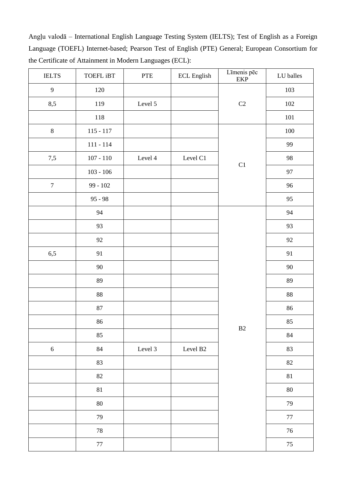Angļu valodā – International English Language Testing System (IELTS); Test of English as a Foreign Language (TOEFL) Internet-based; Pearson Test of English (PTE) General; European Consortium for the Certificate of Attainment in Modern Languages (ECL):

| $\operatorname{IELTS}$ | TOEFL iBT   | ${\rm PTE}$ | ECL English | Līmenis pēc<br>${\rm EKP}$ | LU balles |
|------------------------|-------------|-------------|-------------|----------------------------|-----------|
| 9                      | $120\,$     |             |             | $\rm C2$                   | 103       |
| 8,5                    | 119         | Level 5     |             |                            | $102\,$   |
|                        | 118         |             |             |                            | $101\,$   |
| $\,8\,$                | $115 - 117$ |             |             | $\mathop{\rm C}\nolimits1$ | $100\,$   |
|                        | $111 - 114$ |             |             |                            | 99        |
| $7,5$                  | 107 - 110   | Level 4     | Level C1    |                            | 98        |
|                        | $103 - 106$ |             |             |                            | 97        |
| $\boldsymbol{7}$       | $99 - 102$  |             |             |                            | 96        |
|                        | $95 - 98$   |             |             |                            | 95        |
|                        | 94          |             |             | B <sub>2</sub>             | 94        |
|                        | 93          |             |             |                            | 93        |
|                        | 92          |             |             |                            | 92        |
| 6,5                    | 91          |             |             |                            | 91        |
|                        | $90\,$      |             |             |                            | $90\,$    |
|                        | 89          |             |             |                            | 89        |
|                        | $88\,$      |             |             |                            | $88\,$    |
|                        | $87\,$      |             |             |                            | 86        |
|                        | 86          |             |             |                            | 85        |
|                        | 85          |             |             |                            | 84        |
| $\sqrt{6}$             | $\bf 84$    | Level 3     | Level B2    |                            | 83        |
|                        | 83          |             |             |                            | $82\,$    |
|                        | $82\,$      |             |             |                            | $81\,$    |
|                        | $81\,$      |             |             |                            | $80\,$    |
|                        | $80\,$      |             |             |                            | 79        |
|                        | 79          |             |             |                            | $77\,$    |
|                        | $78\,$      |             |             |                            | $76\,$    |
|                        | $77\,$      |             |             |                            | $75\,$    |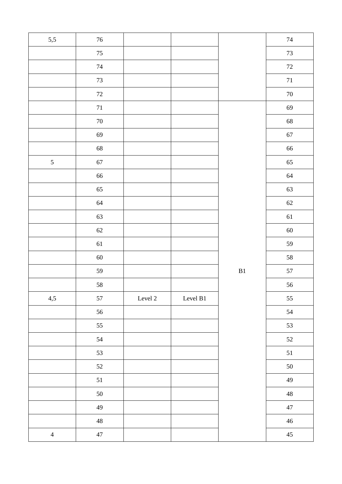| $5,5$          | $76\,$ |             |                |               | $74\,$      |
|----------------|--------|-------------|----------------|---------------|-------------|
|                | $75\,$ |             |                |               | $73\,$      |
|                | $74\,$ |             |                |               | $72\,$      |
|                | $73\,$ |             |                |               | $71\,$      |
|                | $72\,$ |             |                |               | $70\,$      |
|                | $71\,$ |             |                |               | 69          |
|                | $70\,$ |             |                |               | 68          |
|                | 69     |             |                |               | 67          |
|                | 68     |             |                |               | 66          |
| $\mathfrak{S}$ | 67     |             |                |               | 65          |
|                | 66     |             |                |               | 64          |
|                | 65     |             |                |               | 63          |
|                | 64     |             |                |               | $62\,$      |
|                | 63     |             |                |               | 61          |
|                | $62\,$ |             |                |               | $60\,$      |
|                | $61\,$ |             |                |               | 59          |
|                | $60\,$ |             |                |               | $58\,$      |
|                | 59     |             |                | $\mathbf{B}1$ | 57          |
|                | 58     |             |                |               | 56          |
| 4,5            | 57     | Level $2\,$ | Level $\rm B1$ |               | 55          |
|                | 56     |             |                |               | 54          |
|                | 55     |             |                |               | 53          |
|                | 54     |             |                |               | 52          |
|                | 53     |             |                |               | 51          |
|                | $52\,$ |             |                |               | $50\,$      |
|                | 51     |             |                |               | 49          |
|                | 50     |             |                |               | $\sqrt{48}$ |
|                | 49     |             |                |               | $47\,$      |
|                | $48\,$ |             |                |               | $46\,$      |
| $\overline{4}$ | $47\,$ |             |                |               | $45\,$      |